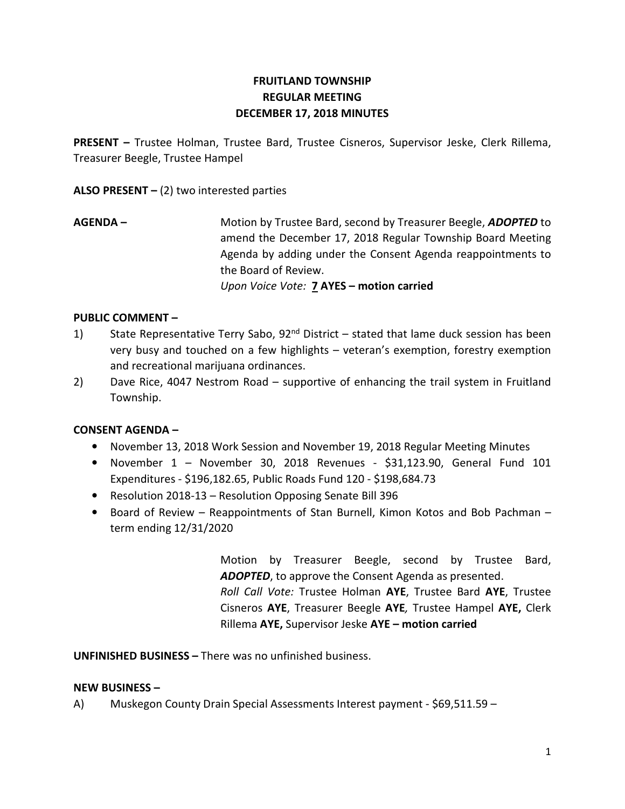# FRUITLAND TOWNSHIP REGULAR MEETING DECEMBER 17, 2018 MINUTES

PRESENT – Trustee Holman, Trustee Bard, Trustee Cisneros, Supervisor Jeske, Clerk Rillema, Treasurer Beegle, Trustee Hampel

ALSO PRESENT  $-$  (2) two interested parties

AGENDA – Motion by Trustee Bard, second by Treasurer Beegle, ADOPTED to amend the December 17, 2018 Regular Township Board Meeting Agenda by adding under the Consent Agenda reappointments to the Board of Review. Upon Voice Vote: 7 AYES - motion carried

### PUBLIC COMMENT –

- 1) State Representative Terry Sabo,  $92<sup>nd</sup>$  District stated that lame duck session has been very busy and touched on a few highlights – veteran's exemption, forestry exemption and recreational marijuana ordinances.
- 2) Dave Rice, 4047 Nestrom Road supportive of enhancing the trail system in Fruitland Township.

## CONSENT AGENDA –

- November 13, 2018 Work Session and November 19, 2018 Regular Meeting Minutes
- November 1 November 30, 2018 Revenues \$31,123.90, General Fund 101 Expenditures - \$196,182.65, Public Roads Fund 120 - \$198,684.73
- Resolution 2018-13 Resolution Opposing Senate Bill 396
- Board of Review Reappointments of Stan Burnell, Kimon Kotos and Bob Pachman term ending 12/31/2020

 Motion by Treasurer Beegle, second by Trustee Bard, ADOPTED, to approve the Consent Agenda as presented. Roll Call Vote: Trustee Holman AYE, Trustee Bard AYE, Trustee Cisneros AYE, Treasurer Beegle AYE, Trustee Hampel AYE, Clerk Rillema AYE, Supervisor Jeske AYE – motion carried

UNFINISHED BUSINESS – There was no unfinished business.

### NEW BUSINESS –

A) Muskegon County Drain Special Assessments Interest payment - \$69,511.59 –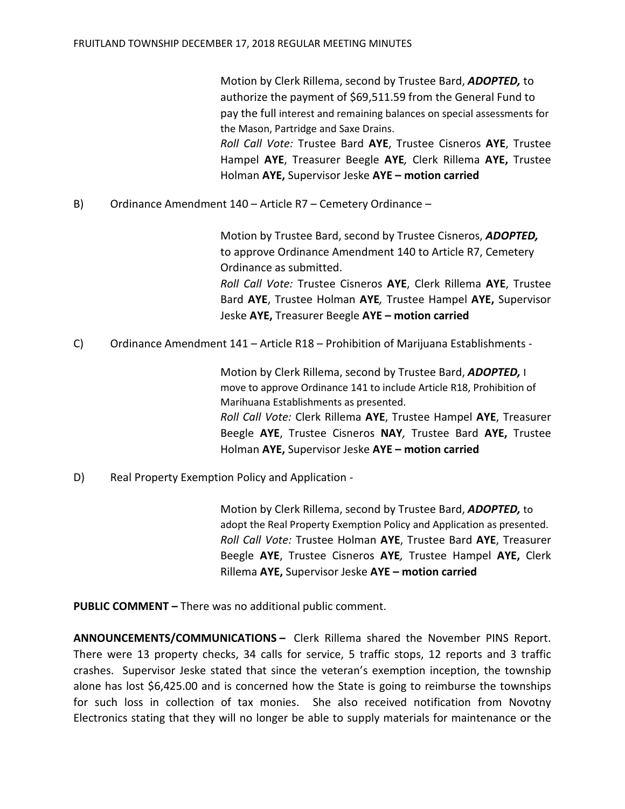Motion by Clerk Rillema, second by Trustee Bard, ADOPTED, to authorize the payment of \$69,511.59 from the General Fund to pay the full interest and remaining balances on special assessments for the Mason, Partridge and Saxe Drains.

Roll Call Vote: Trustee Bard AYE, Trustee Cisneros AYE, Trustee Hampel AYE, Treasurer Beegle AYE, Clerk Rillema AYE, Trustee Holman AYE, Supervisor Jeske AYE – motion carried

B) Ordinance Amendment 140 – Article R7 – Cemetery Ordinance –

Motion by Trustee Bard, second by Trustee Cisneros, ADOPTED, to approve Ordinance Amendment 140 to Article R7, Cemetery Ordinance as submitted. Roll Call Vote: Trustee Cisneros AYE, Clerk Rillema AYE, Trustee

Bard AYE, Trustee Holman AYE, Trustee Hampel AYE, Supervisor Jeske AYE, Treasurer Beegle AYE – motion carried

C) Ordinance Amendment 141 – Article R18 – Prohibition of Marijuana Establishments -

Motion by Clerk Rillema, second by Trustee Bard, **ADOPTED**, I move to approve Ordinance 141 to include Article R18, Prohibition of Marihuana Establishments as presented. Roll Call Vote: Clerk Rillema AYE, Trustee Hampel AYE, Treasurer Beegle AYE, Trustee Cisneros NAY, Trustee Bard AYE, Trustee Holman AYE, Supervisor Jeske AYE - motion carried

D) Real Property Exemption Policy and Application -

 Motion by Clerk Rillema, second by Trustee Bard, ADOPTED, to adopt the Real Property Exemption Policy and Application as presented. Roll Call Vote: Trustee Holman AYE, Trustee Bard AYE, Treasurer Beegle AYE, Trustee Cisneros AYE, Trustee Hampel AYE, Clerk Rillema AYE, Supervisor Jeske AYE - motion carried

PUBLIC COMMENT – There was no additional public comment.

ANNOUNCEMENTS/COMMUNICATIONS – Clerk Rillema shared the November PINS Report. There were 13 property checks, 34 calls for service, 5 traffic stops, 12 reports and 3 traffic crashes. Supervisor Jeske stated that since the veteran's exemption inception, the township alone has lost \$6,425.00 and is concerned how the State is going to reimburse the townships for such loss in collection of tax monies. She also received notification from Novotny Electronics stating that they will no longer be able to supply materials for maintenance or the